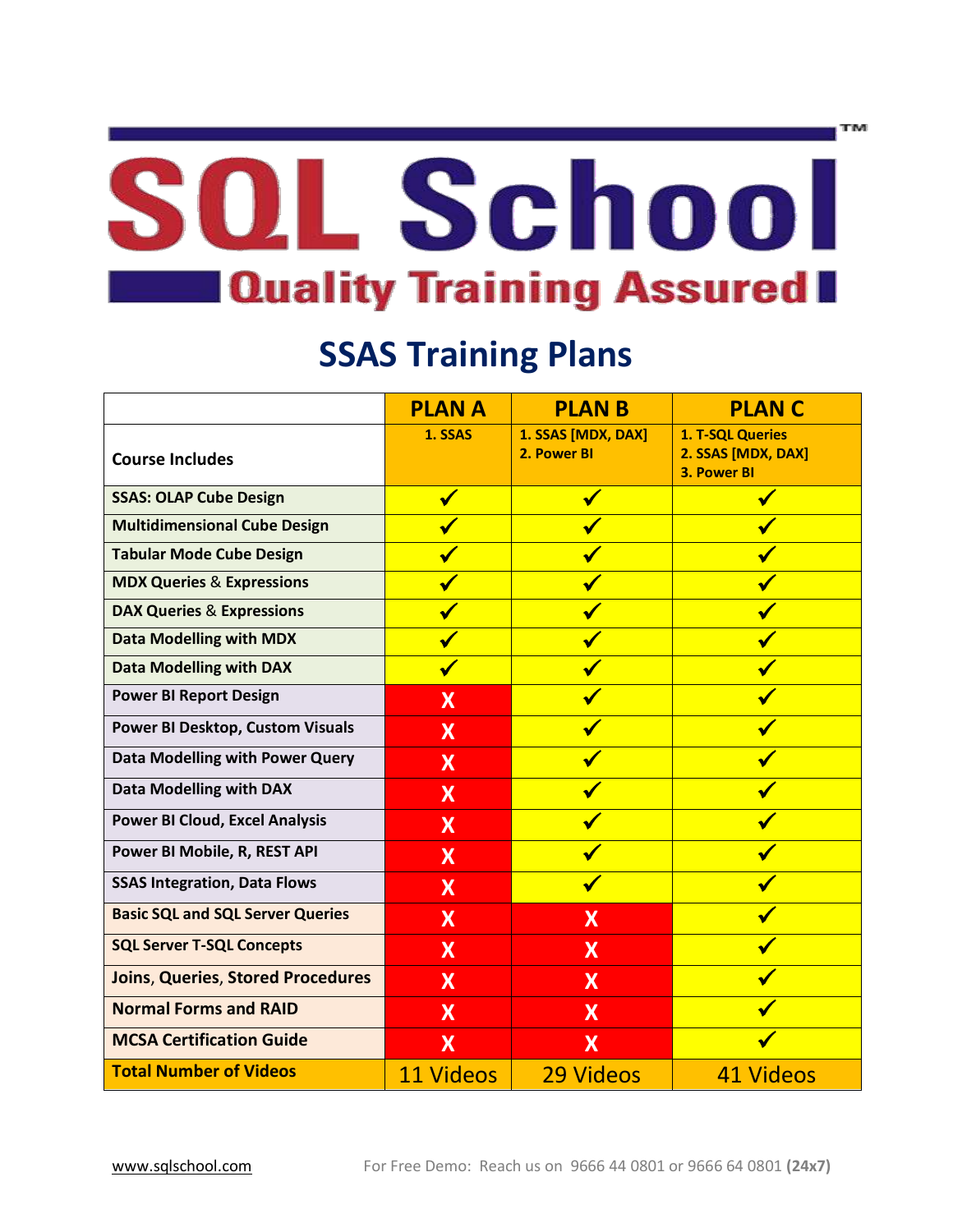# SOL School **Callenate Service 19 In the U.S. Assured II**

## **SSAS Training Plans**

|                                          | <b>PLANA</b>              | <b>PLAN B</b>                     | <b>PLANC</b>                                          |
|------------------------------------------|---------------------------|-----------------------------------|-------------------------------------------------------|
| <b>Course Includes</b>                   | 1. SSAS                   | 1. SSAS [MDX, DAX]<br>2. Power BI | 1. T-SQL Queries<br>2. SSAS [MDX, DAX]<br>3. Power BI |
| <b>SSAS: OLAP Cube Design</b>            | $\checkmark$              | $\checkmark$                      |                                                       |
| <b>Multidimensional Cube Design</b>      |                           | $\blacktriangledown$              | $\blacktriangledown$                                  |
| <b>Tabular Mode Cube Design</b>          |                           | $\blacktriangledown$              |                                                       |
| <b>MDX Queries &amp; Expressions</b>     |                           | $\checkmark$                      |                                                       |
| <b>DAX Queries &amp; Expressions</b>     | $\checkmark$              | $\checkmark$                      |                                                       |
| <b>Data Modelling with MDX</b>           | $\checkmark$              | $\checkmark$                      |                                                       |
| <b>Data Modelling with DAX</b>           | $\checkmark$              | $\checkmark$                      |                                                       |
| <b>Power BI Report Design</b>            | X                         | $\checkmark$                      |                                                       |
| <b>Power BI Desktop, Custom Visuals</b>  | X                         | $\checkmark$                      |                                                       |
| <b>Data Modelling with Power Query</b>   | X                         | $\blacktriangledown$              |                                                       |
| <b>Data Modelling with DAX</b>           | X                         |                                   |                                                       |
| <b>Power BI Cloud, Excel Analysis</b>    | $\boldsymbol{\mathsf{X}}$ |                                   |                                                       |
| Power BI Mobile, R, REST API             | $\boldsymbol{\mathsf{X}}$ | $\checkmark$                      |                                                       |
| <b>SSAS Integration, Data Flows</b>      | X                         | $\checkmark$                      |                                                       |
| <b>Basic SQL and SQL Server Queries</b>  | $\boldsymbol{\mathsf{X}}$ | $\boldsymbol{\mathsf{X}}$         |                                                       |
| <b>SQL Server T-SQL Concepts</b>         | X                         | X                                 |                                                       |
| <b>Joins, Queries, Stored Procedures</b> | $\boldsymbol{\mathsf{X}}$ | X                                 |                                                       |
| <b>Normal Forms and RAID</b>             | $\boldsymbol{\mathsf{X}}$ | $\boldsymbol{\mathsf{X}}$         |                                                       |
| <b>MCSA Certification Guide</b>          | $\boldsymbol{\mathsf{X}}$ | X                                 |                                                       |
| <b>Total Number of Videos</b>            | <b>11 Videos</b>          | 29 Videos                         | 41 Videos                                             |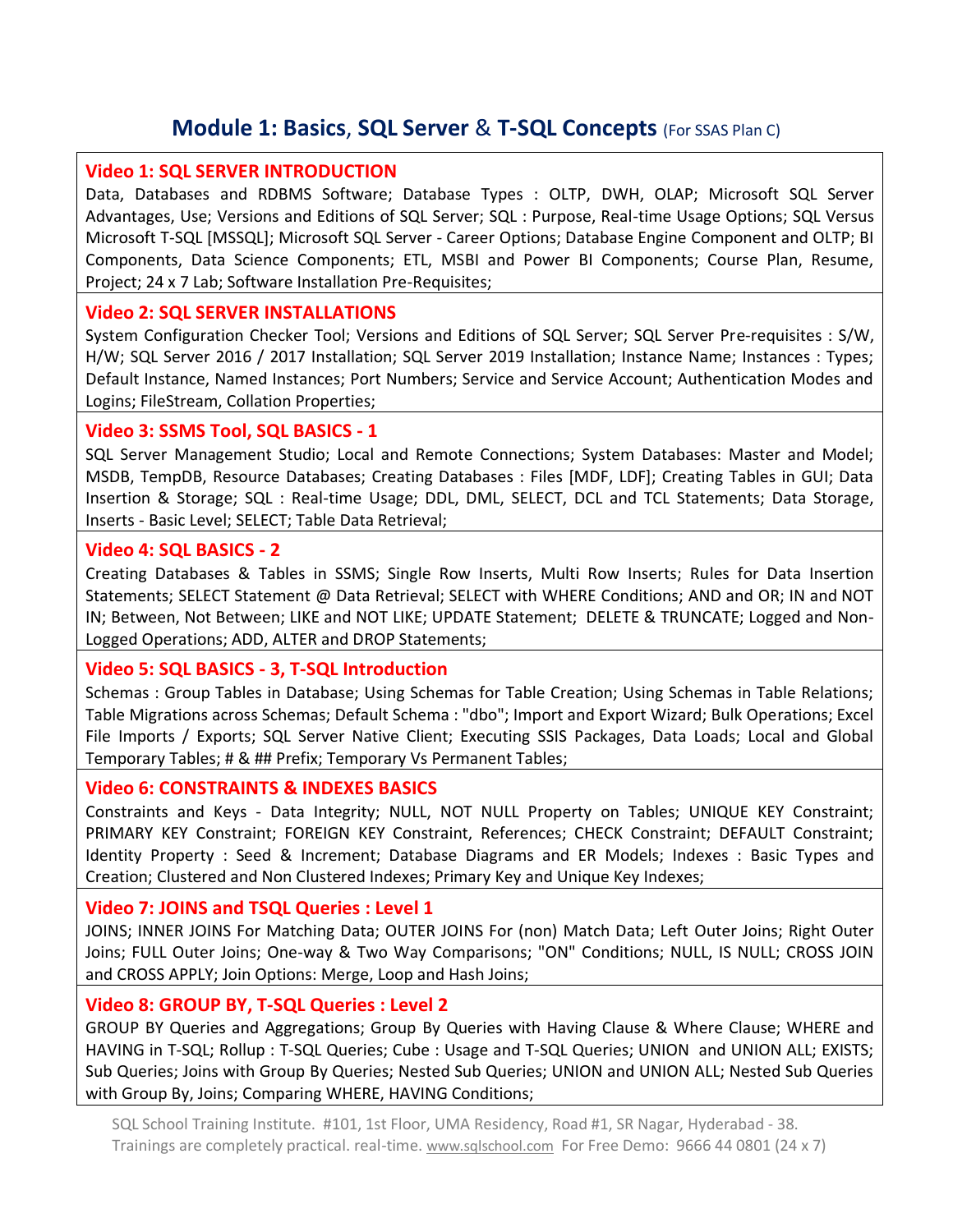## **Module 1: Basics**, **SQL Server** & **T-SQL Concepts** (For SSAS Plan C)

## **Video 1: SQL SERVER INTRODUCTION**

Data, Databases and RDBMS Software; Database Types : OLTP, DWH, OLAP; Microsoft SQL Server Advantages, Use; Versions and Editions of SQL Server; SQL : Purpose, Real-time Usage Options; SQL Versus Microsoft T-SQL [MSSQL]; Microsoft SQL Server - Career Options; Database Engine Component and OLTP; BI Components, Data Science Components; ETL, MSBI and Power BI Components; Course Plan, Resume, Project; 24 x 7 Lab; Software Installation Pre-Requisites;

## **Video 2: SQL SERVER INSTALLATIONS**

System Configuration Checker Tool; Versions and Editions of SQL Server; SQL Server Pre-requisites : S/W, H/W; SQL Server 2016 / 2017 Installation; SQL Server 2019 Installation; Instance Name; Instances : Types; Default Instance, Named Instances; Port Numbers; Service and Service Account; Authentication Modes and Logins; FileStream, Collation Properties;

## **Video 3: SSMS Tool, SQL BASICS - 1**

SQL Server Management Studio; Local and Remote Connections; System Databases: Master and Model; MSDB, TempDB, Resource Databases; Creating Databases : Files [MDF, LDF]; Creating Tables in GUI; Data Insertion & Storage; SQL : Real-time Usage; DDL, DML, SELECT, DCL and TCL Statements; Data Storage, Inserts - Basic Level; SELECT; Table Data Retrieval;

#### **Video 4: SQL BASICS - 2**

Creating Databases & Tables in SSMS; Single Row Inserts, Multi Row Inserts; Rules for Data Insertion Statements; SELECT Statement @ Data Retrieval; SELECT with WHERE Conditions; AND and OR; IN and NOT IN; Between, Not Between; LIKE and NOT LIKE; UPDATE Statement; DELETE & TRUNCATE; Logged and Non-Logged Operations; ADD, ALTER and DROP Statements;

## **Video 5: SQL BASICS - 3, T-SQL Introduction**

Schemas : Group Tables in Database; Using Schemas for Table Creation; Using Schemas in Table Relations; Table Migrations across Schemas; Default Schema : "dbo"; Import and Export Wizard; Bulk Operations; Excel File Imports / Exports; SQL Server Native Client; Executing SSIS Packages, Data Loads; Local and Global Temporary Tables; # & ## Prefix; Temporary Vs Permanent Tables;

## **Video 6: CONSTRAINTS & INDEXES BASICS**

Constraints and Keys - Data Integrity; NULL, NOT NULL Property on Tables; UNIQUE KEY Constraint; PRIMARY KEY Constraint; FOREIGN KEY Constraint, References; CHECK Constraint; DEFAULT Constraint; Identity Property : Seed & Increment; Database Diagrams and ER Models; Indexes : Basic Types and Creation; Clustered and Non Clustered Indexes; Primary Key and Unique Key Indexes;

## **Video 7: JOINS and TSQL Queries : Level 1**

JOINS; INNER JOINS For Matching Data; OUTER JOINS For (non) Match Data; Left Outer Joins; Right Outer Joins; FULL Outer Joins; One-way & Two Way Comparisons; "ON" Conditions; NULL, IS NULL; CROSS JOIN and CROSS APPLY; Join Options: Merge, Loop and Hash Joins;

## **Video 8: GROUP BY, T-SQL Queries : Level 2**

GROUP BY Queries and Aggregations; Group By Queries with Having Clause & Where Clause; WHERE and HAVING in T-SQL; Rollup : T-SQL Queries; Cube : Usage and T-SQL Queries; UNION and UNION ALL; EXISTS; Sub Queries; Joins with Group By Queries; Nested Sub Queries; UNION and UNION ALL; Nested Sub Queries with Group By, Joins; Comparing WHERE, HAVING Conditions;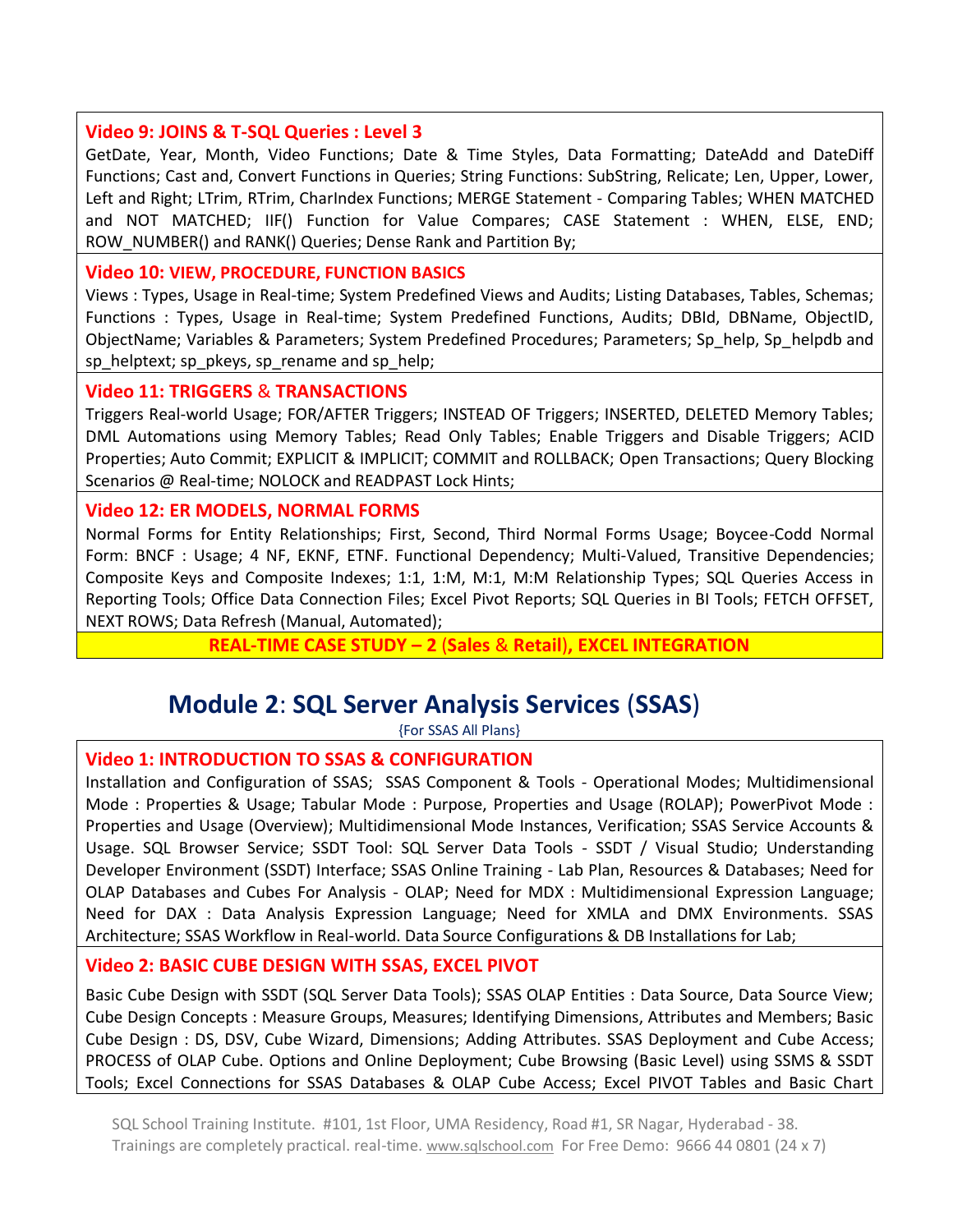## **Video 9: JOINS & T-SQL Queries : Level 3**

GetDate, Year, Month, Video Functions; Date & Time Styles, Data Formatting; DateAdd and DateDiff Functions; Cast and, Convert Functions in Queries; String Functions: SubString, Relicate; Len, Upper, Lower, Left and Right; LTrim, RTrim, CharIndex Functions; MERGE Statement - Comparing Tables; WHEN MATCHED and NOT MATCHED; IIF() Function for Value Compares; CASE Statement : WHEN, ELSE, END; ROW\_NUMBER() and RANK() Queries; Dense Rank and Partition By;

#### **Video 10: VIEW, PROCEDURE, FUNCTION BASICS**

Views : Types, Usage in Real-time; System Predefined Views and Audits; Listing Databases, Tables, Schemas; Functions : Types, Usage in Real-time; System Predefined Functions, Audits; DBId, DBName, ObjectID, ObjectName; Variables & Parameters; System Predefined Procedures; Parameters; Sp\_help, Sp\_helpdb and sp\_helptext; sp\_pkeys, sp\_rename and sp\_help;

#### **Video 11: TRIGGERS** & **TRANSACTIONS**

Triggers Real-world Usage; FOR/AFTER Triggers; INSTEAD OF Triggers; INSERTED, DELETED Memory Tables; DML Automations using Memory Tables; Read Only Tables; Enable Triggers and Disable Triggers; ACID Properties; Auto Commit; EXPLICIT & IMPLICIT; COMMIT and ROLLBACK; Open Transactions; Query Blocking Scenarios @ Real-time; NOLOCK and READPAST Lock Hints;

## **Video 12: ER MODELS, NORMAL FORMS**

Normal Forms for Entity Relationships; First, Second, Third Normal Forms Usage; Boycee-Codd Normal Form: BNCF : Usage; 4 NF, EKNF, ETNF. Functional Dependency; Multi-Valued, Transitive Dependencies; Composite Keys and Composite Indexes; 1:1, 1:M, M:1, M:M Relationship Types; SQL Queries Access in Reporting Tools; Office Data Connection Files; Excel Pivot Reports; SQL Queries in BI Tools; FETCH OFFSET, NEXT ROWS; Data Refresh (Manual, Automated);

**REAL-TIME CASE STUDY – 2** (**Sales** & **Retail**)**, EXCEL INTEGRATION**

## **Module 2**: **SQL Server Analysis Services** (**SSAS**)

{For SSAS All Plans}

## **Video 1: INTRODUCTION TO SSAS & CONFIGURATION**

Installation and Configuration of SSAS; SSAS Component & Tools - Operational Modes; Multidimensional Mode : Properties & Usage; Tabular Mode : Purpose, Properties and Usage (ROLAP); PowerPivot Mode : Properties and Usage (Overview); Multidimensional Mode Instances, Verification; SSAS Service Accounts & Usage. SQL Browser Service; SSDT Tool: SQL Server Data Tools - SSDT / Visual Studio; Understanding Developer Environment (SSDT) Interface; SSAS Online Training - Lab Plan, Resources & Databases; Need for OLAP Databases and Cubes For Analysis - OLAP; Need for MDX : Multidimensional Expression Language; Need for DAX : Data Analysis Expression Language; Need for XMLA and DMX Environments. SSAS Architecture; SSAS Workflow in Real-world. Data Source Configurations & DB Installations for Lab;

## **Video 2: BASIC CUBE DESIGN WITH SSAS, EXCEL PIVOT**

Basic Cube Design with SSDT (SQL Server Data Tools); SSAS OLAP Entities : Data Source, Data Source View; Cube Design Concepts : Measure Groups, Measures; Identifying Dimensions, Attributes and Members; Basic Cube Design : DS, DSV, Cube Wizard, Dimensions; Adding Attributes. SSAS Deployment and Cube Access; PROCESS of OLAP Cube. Options and Online Deployment; Cube Browsing (Basic Level) using SSMS & SSDT Tools; Excel Connections for SSAS Databases & OLAP Cube Access; Excel PIVOT Tables and Basic Chart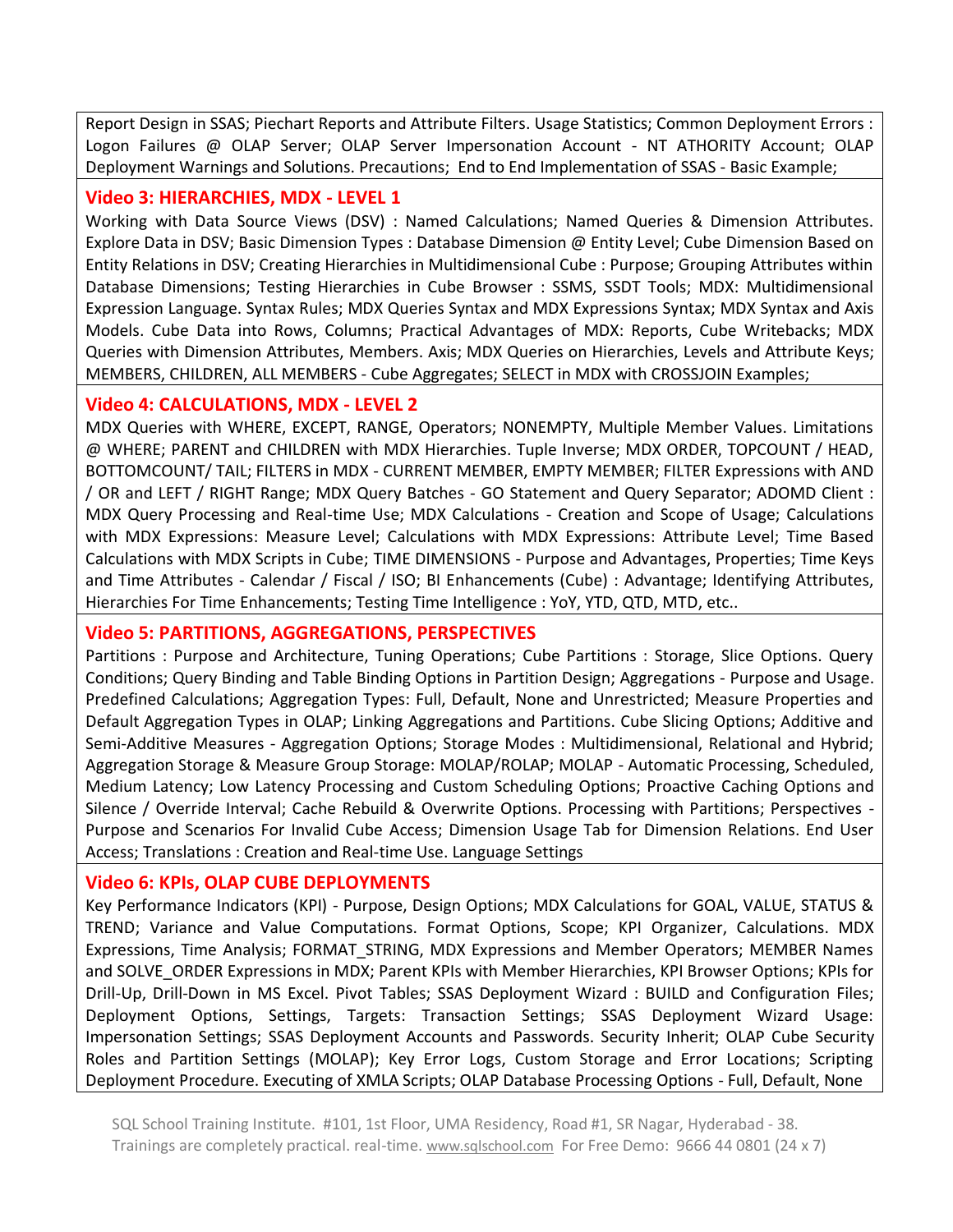Report Design in SSAS; Piechart Reports and Attribute Filters. Usage Statistics; Common Deployment Errors : Logon Failures @ OLAP Server; OLAP Server Impersonation Account - NT ATHORITY Account; OLAP Deployment Warnings and Solutions. Precautions; End to End Implementation of SSAS - Basic Example;

## **Video 3: HIERARCHIES, MDX - LEVEL 1**

Working with Data Source Views (DSV) : Named Calculations; Named Queries & Dimension Attributes. Explore Data in DSV; Basic Dimension Types : Database Dimension @ Entity Level; Cube Dimension Based on Entity Relations in DSV; Creating Hierarchies in Multidimensional Cube : Purpose; Grouping Attributes within Database Dimensions; Testing Hierarchies in Cube Browser : SSMS, SSDT Tools; MDX: Multidimensional Expression Language. Syntax Rules; MDX Queries Syntax and MDX Expressions Syntax; MDX Syntax and Axis Models. Cube Data into Rows, Columns; Practical Advantages of MDX: Reports, Cube Writebacks; MDX Queries with Dimension Attributes, Members. Axis; MDX Queries on Hierarchies, Levels and Attribute Keys; MEMBERS, CHILDREN, ALL MEMBERS - Cube Aggregates; SELECT in MDX with CROSSJOIN Examples;

## **Video 4: CALCULATIONS, MDX - LEVEL 2**

MDX Queries with WHERE, EXCEPT, RANGE, Operators; NONEMPTY, Multiple Member Values. Limitations @ WHERE; PARENT and CHILDREN with MDX Hierarchies. Tuple Inverse; MDX ORDER, TOPCOUNT / HEAD, BOTTOMCOUNT/ TAIL; FILTERS in MDX - CURRENT MEMBER, EMPTY MEMBER; FILTER Expressions with AND / OR and LEFT / RIGHT Range; MDX Query Batches - GO Statement and Query Separator; ADOMD Client : MDX Query Processing and Real-time Use; MDX Calculations - Creation and Scope of Usage; Calculations with MDX Expressions: Measure Level; Calculations with MDX Expressions: Attribute Level; Time Based Calculations with MDX Scripts in Cube; TIME DIMENSIONS - Purpose and Advantages, Properties; Time Keys and Time Attributes - Calendar / Fiscal / ISO; BI Enhancements (Cube) : Advantage; Identifying Attributes, Hierarchies For Time Enhancements; Testing Time Intelligence : YoY, YTD, QTD, MTD, etc..

## **Video 5: PARTITIONS, AGGREGATIONS, PERSPECTIVES**

Partitions : Purpose and Architecture, Tuning Operations; Cube Partitions : Storage, Slice Options. Query Conditions; Query Binding and Table Binding Options in Partition Design; Aggregations - Purpose and Usage. Predefined Calculations; Aggregation Types: Full, Default, None and Unrestricted; Measure Properties and Default Aggregation Types in OLAP; Linking Aggregations and Partitions. Cube Slicing Options; Additive and Semi-Additive Measures - Aggregation Options; Storage Modes : Multidimensional, Relational and Hybrid; Aggregation Storage & Measure Group Storage: MOLAP/ROLAP; MOLAP - Automatic Processing, Scheduled, Medium Latency; Low Latency Processing and Custom Scheduling Options; Proactive Caching Options and Silence / Override Interval; Cache Rebuild & Overwrite Options. Processing with Partitions; Perspectives - Purpose and Scenarios For Invalid Cube Access; Dimension Usage Tab for Dimension Relations. End User Access; Translations : Creation and Real-time Use. Language Settings

## **Video 6: KPIs, OLAP CUBE DEPLOYMENTS**

Key Performance Indicators (KPI) - Purpose, Design Options; MDX Calculations for GOAL, VALUE, STATUS & TREND; Variance and Value Computations. Format Options, Scope; KPI Organizer, Calculations. MDX Expressions, Time Analysis; FORMAT\_STRING, MDX Expressions and Member Operators; MEMBER Names and SOLVE\_ORDER Expressions in MDX; Parent KPIs with Member Hierarchies, KPI Browser Options; KPIs for Drill-Up, Drill-Down in MS Excel. Pivot Tables; SSAS Deployment Wizard : BUILD and Configuration Files; Deployment Options, Settings, Targets: Transaction Settings; SSAS Deployment Wizard Usage: Impersonation Settings; SSAS Deployment Accounts and Passwords. Security Inherit; OLAP Cube Security Roles and Partition Settings (MOLAP); Key Error Logs, Custom Storage and Error Locations; Scripting Deployment Procedure. Executing of XMLA Scripts; OLAP Database Processing Options - Full, Default, None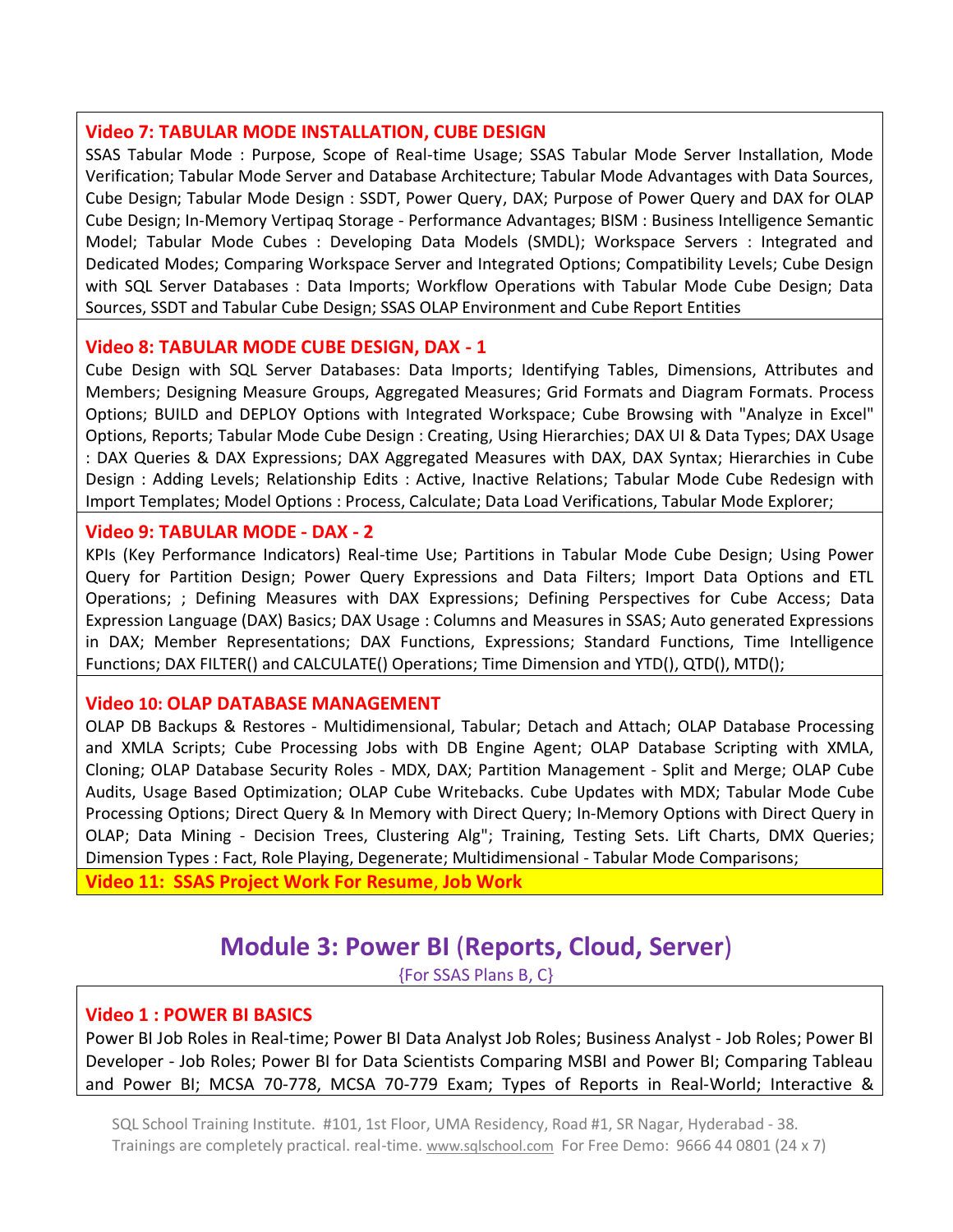#### **Video 7: TABULAR MODE INSTALLATION, CUBE DESIGN**

SSAS Tabular Mode : Purpose, Scope of Real-time Usage; SSAS Tabular Mode Server Installation, Mode Verification; Tabular Mode Server and Database Architecture; Tabular Mode Advantages with Data Sources, Cube Design; Tabular Mode Design : SSDT, Power Query, DAX; Purpose of Power Query and DAX for OLAP Cube Design; In-Memory Vertipaq Storage - Performance Advantages; BISM : Business Intelligence Semantic Model; Tabular Mode Cubes : Developing Data Models (SMDL); Workspace Servers : Integrated and Dedicated Modes; Comparing Workspace Server and Integrated Options; Compatibility Levels; Cube Design with SQL Server Databases : Data Imports; Workflow Operations with Tabular Mode Cube Design; Data Sources, SSDT and Tabular Cube Design; SSAS OLAP Environment and Cube Report Entities

#### **Video 8: TABULAR MODE CUBE DESIGN, DAX - 1**

Cube Design with SQL Server Databases: Data Imports; Identifying Tables, Dimensions, Attributes and Members; Designing Measure Groups, Aggregated Measures; Grid Formats and Diagram Formats. Process Options; BUILD and DEPLOY Options with Integrated Workspace; Cube Browsing with "Analyze in Excel" Options, Reports; Tabular Mode Cube Design : Creating, Using Hierarchies; DAX UI & Data Types; DAX Usage : DAX Queries & DAX Expressions; DAX Aggregated Measures with DAX, DAX Syntax; Hierarchies in Cube Design : Adding Levels; Relationship Edits : Active, Inactive Relations; Tabular Mode Cube Redesign with Import Templates; Model Options : Process, Calculate; Data Load Verifications, Tabular Mode Explorer;

## **Video 9: TABULAR MODE - DAX - 2**

KPIs (Key Performance Indicators) Real-time Use; Partitions in Tabular Mode Cube Design; Using Power Query for Partition Design; Power Query Expressions and Data Filters; Import Data Options and ETL Operations; ; Defining Measures with DAX Expressions; Defining Perspectives for Cube Access; Data Expression Language (DAX) Basics; DAX Usage : Columns and Measures in SSAS; Auto generated Expressions in DAX; Member Representations; DAX Functions, Expressions; Standard Functions, Time Intelligence Functions; DAX FILTER() and CALCULATE() Operations; Time Dimension and YTD(), QTD(), MTD();

#### **Video 10: OLAP DATABASE MANAGEMENT**

OLAP DB Backups & Restores - Multidimensional, Tabular; Detach and Attach; OLAP Database Processing and XMLA Scripts; Cube Processing Jobs with DB Engine Agent; OLAP Database Scripting with XMLA, Cloning; OLAP Database Security Roles - MDX, DAX; Partition Management - Split and Merge; OLAP Cube Audits, Usage Based Optimization; OLAP Cube Writebacks. Cube Updates with MDX; Tabular Mode Cube Processing Options; Direct Query & In Memory with Direct Query; In-Memory Options with Direct Query in OLAP; Data Mining - Decision Trees, Clustering Alg"; Training, Testing Sets. Lift Charts, DMX Queries; Dimension Types : Fact, Role Playing, Degenerate; Multidimensional - Tabular Mode Comparisons;

**Video 11: SSAS Project Work For Resume**, **Job Work**

## **Module 3: Power BI** (**Reports, Cloud, Server**)

{For SSAS Plans B, C}

## **Video 1 : POWER BI BASICS**

Power BI Job Roles in Real-time; Power BI Data Analyst Job Roles; Business Analyst - Job Roles; Power BI Developer - Job Roles; Power BI for Data Scientists Comparing MSBI and Power BI; Comparing Tableau and Power BI; MCSA 70-778, MCSA 70-779 Exam; Types of Reports in Real-World; Interactive &

SQL School Training Institute. #101, 1st Floor, UMA Residency, Road #1, SR Nagar, Hyderabad - 38. Trainings are completely practical. real-time. [www.sqlschool.com](http://www.sqlschool.com/) For Free Demo: 9666 44 0801 (24 x 7)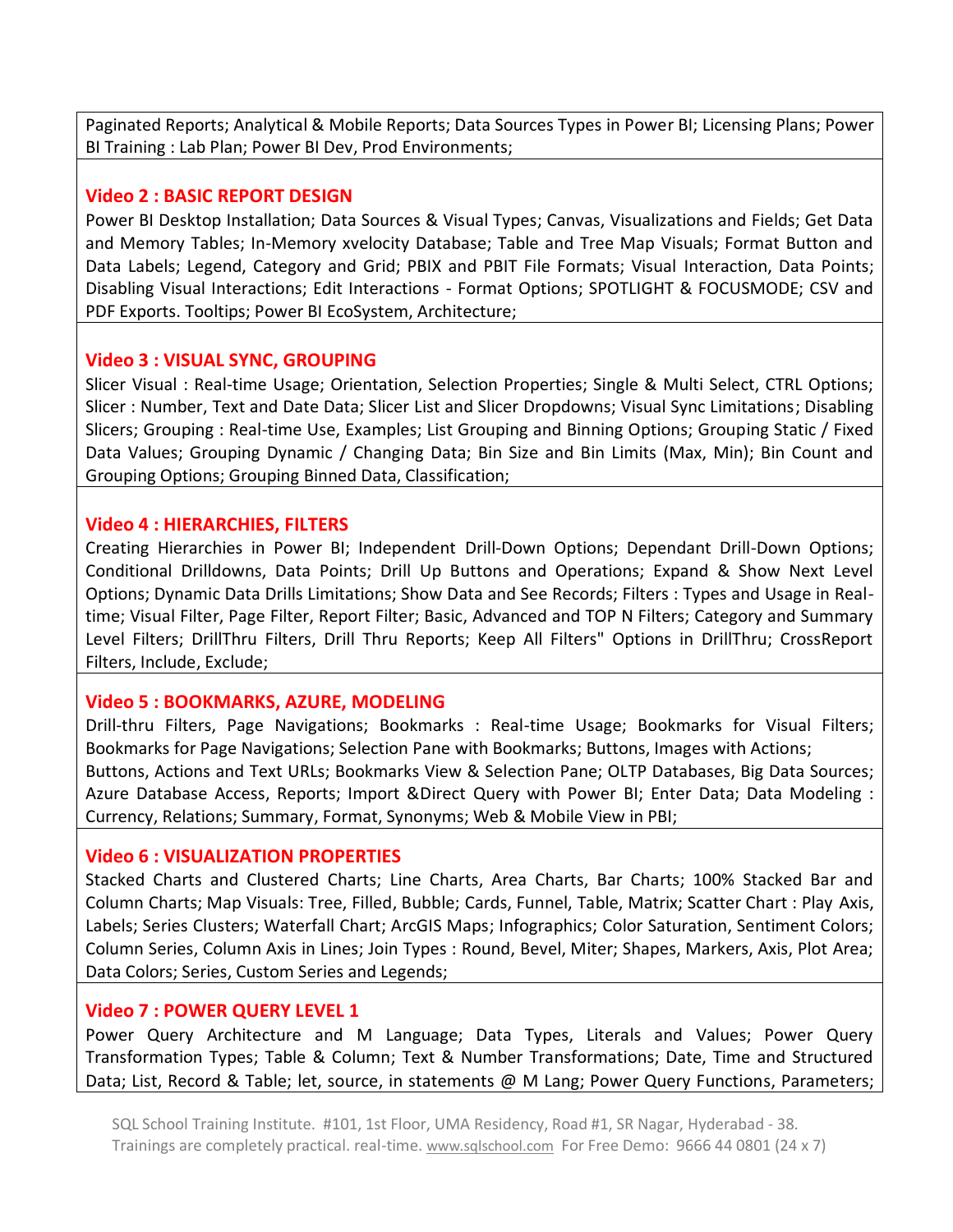Paginated Reports; Analytical & Mobile Reports; Data Sources Types in Power BI; Licensing Plans; Power BI Training : Lab Plan; Power BI Dev, Prod Environments;

## **Video 2 : BASIC REPORT DESIGN**

Power BI Desktop Installation; Data Sources & Visual Types; Canvas, Visualizations and Fields; Get Data and Memory Tables; In-Memory xvelocity Database; Table and Tree Map Visuals; Format Button and Data Labels; Legend, Category and Grid; PBIX and PBIT File Formats; Visual Interaction, Data Points; Disabling Visual Interactions; Edit Interactions - Format Options; SPOTLIGHT & FOCUSMODE; CSV and PDF Exports. Tooltips; Power BI EcoSystem, Architecture;

## **Video 3 : VISUAL SYNC, GROUPING**

Slicer Visual : Real-time Usage; Orientation, Selection Properties; Single & Multi Select, CTRL Options; Slicer : Number, Text and Date Data; Slicer List and Slicer Dropdowns; Visual Sync Limitations; Disabling Slicers; Grouping : Real-time Use, Examples; List Grouping and Binning Options; Grouping Static / Fixed Data Values; Grouping Dynamic / Changing Data; Bin Size and Bin Limits (Max, Min); Bin Count and Grouping Options; Grouping Binned Data, Classification;

## **Video 4 : HIERARCHIES, FILTERS**

Creating Hierarchies in Power BI; Independent Drill-Down Options; Dependant Drill-Down Options; Conditional Drilldowns, Data Points; Drill Up Buttons and Operations; Expand & Show Next Level Options; Dynamic Data Drills Limitations; Show Data and See Records; Filters : Types and Usage in Realtime; Visual Filter, Page Filter, Report Filter; Basic, Advanced and TOP N Filters; Category and Summary Level Filters; DrillThru Filters, Drill Thru Reports; Keep All Filters" Options in DrillThru; CrossReport Filters, Include, Exclude;

## **Video 5 : BOOKMARKS, AZURE, MODELING**

Drill-thru Filters, Page Navigations; Bookmarks : Real-time Usage; Bookmarks for Visual Filters; Bookmarks for Page Navigations; Selection Pane with Bookmarks; Buttons, Images with Actions; Buttons, Actions and Text URLs; Bookmarks View & Selection Pane; OLTP Databases, Big Data Sources; Azure Database Access, Reports; Import &Direct Query with Power BI; Enter Data; Data Modeling : Currency, Relations; Summary, Format, Synonyms; Web & Mobile View in PBI;

## **Video 6 : VISUALIZATION PROPERTIES**

Stacked Charts and Clustered Charts; Line Charts, Area Charts, Bar Charts; 100% Stacked Bar and Column Charts; Map Visuals: Tree, Filled, Bubble; Cards, Funnel, Table, Matrix; Scatter Chart : Play Axis, Labels; Series Clusters; Waterfall Chart; ArcGIS Maps; Infographics; Color Saturation, Sentiment Colors; Column Series, Column Axis in Lines; Join Types : Round, Bevel, Miter; Shapes, Markers, Axis, Plot Area; Data Colors; Series, Custom Series and Legends;

## **Video 7 : POWER QUERY LEVEL 1**

Power Query Architecture and M Language; Data Types, Literals and Values; Power Query Transformation Types; Table & Column; Text & Number Transformations; Date, Time and Structured Data; List, Record & Table; let, source, in statements @ M Lang; Power Query Functions, Parameters;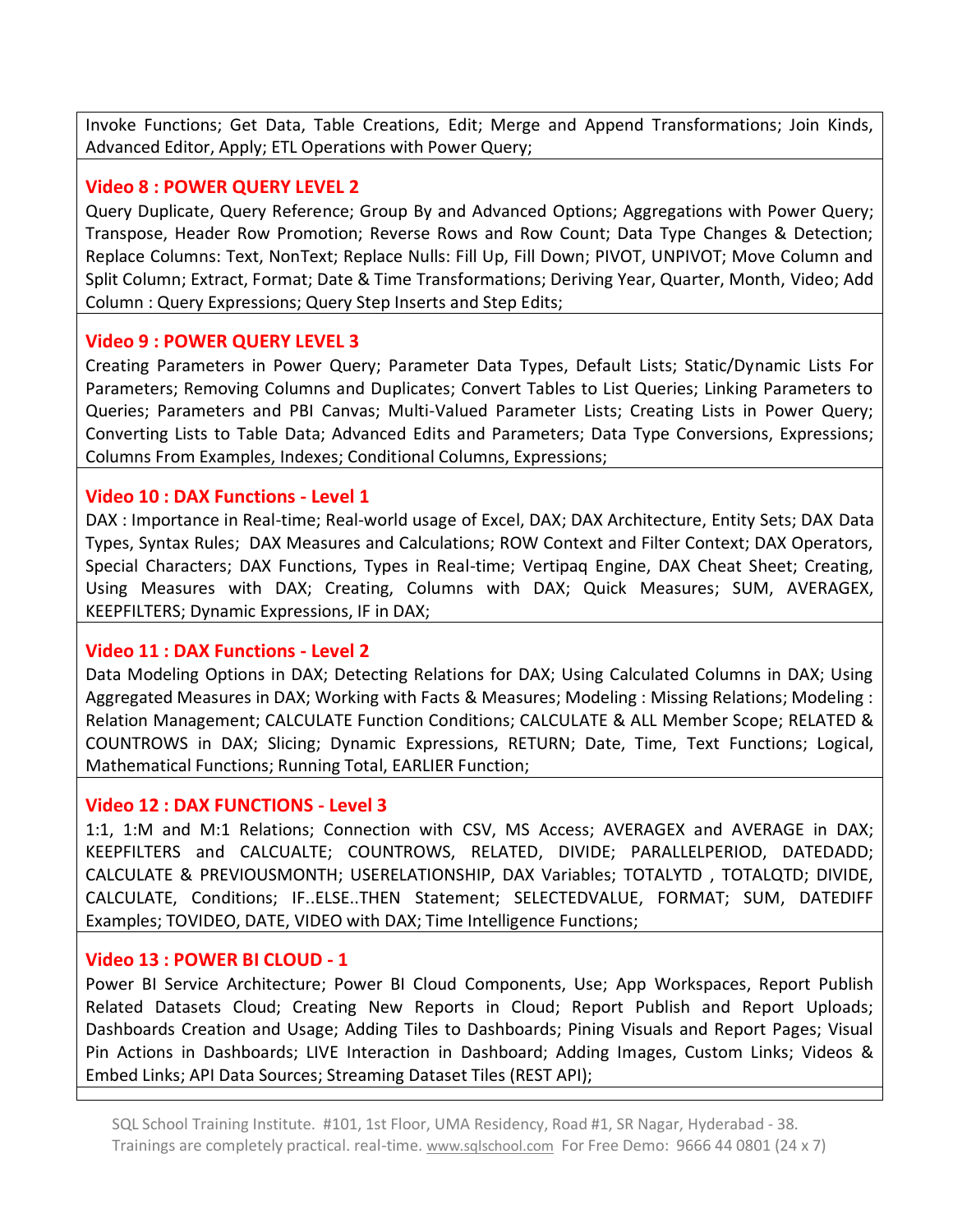Invoke Functions; Get Data, Table Creations, Edit; Merge and Append Transformations; Join Kinds, Advanced Editor, Apply; ETL Operations with Power Query;

## **Video 8 : POWER QUERY LEVEL 2**

Query Duplicate, Query Reference; Group By and Advanced Options; Aggregations with Power Query; Transpose, Header Row Promotion; Reverse Rows and Row Count; Data Type Changes & Detection; Replace Columns: Text, NonText; Replace Nulls: Fill Up, Fill Down; PIVOT, UNPIVOT; Move Column and Split Column; Extract, Format; Date & Time Transformations; Deriving Year, Quarter, Month, Video; Add Column : Query Expressions; Query Step Inserts and Step Edits;

## **Video 9 : POWER QUERY LEVEL 3**

Creating Parameters in Power Query; Parameter Data Types, Default Lists; Static/Dynamic Lists For Parameters; Removing Columns and Duplicates; Convert Tables to List Queries; Linking Parameters to Queries; Parameters and PBI Canvas; Multi-Valued Parameter Lists; Creating Lists in Power Query; Converting Lists to Table Data; Advanced Edits and Parameters; Data Type Conversions, Expressions; Columns From Examples, Indexes; Conditional Columns, Expressions;

## **Video 10 : DAX Functions - Level 1**

DAX : Importance in Real-time; Real-world usage of Excel, DAX; DAX Architecture, Entity Sets; DAX Data Types, Syntax Rules; DAX Measures and Calculations; ROW Context and Filter Context; DAX Operators, Special Characters; DAX Functions, Types in Real-time; Vertipaq Engine, DAX Cheat Sheet; Creating, Using Measures with DAX; Creating, Columns with DAX; Quick Measures; SUM, AVERAGEX, KEEPFILTERS; Dynamic Expressions, IF in DAX;

## **Video 11 : DAX Functions - Level 2**

Data Modeling Options in DAX; Detecting Relations for DAX; Using Calculated Columns in DAX; Using Aggregated Measures in DAX; Working with Facts & Measures; Modeling : Missing Relations; Modeling : Relation Management; CALCULATE Function Conditions; CALCULATE & ALL Member Scope; RELATED & COUNTROWS in DAX; Slicing; Dynamic Expressions, RETURN; Date, Time, Text Functions; Logical, Mathematical Functions; Running Total, EARLIER Function;

## **Video 12 : DAX FUNCTIONS - Level 3**

1:1, 1:M and M:1 Relations; Connection with CSV, MS Access; AVERAGEX and AVERAGE in DAX; KEEPFILTERS and CALCUALTE; COUNTROWS, RELATED, DIVIDE; PARALLELPERIOD, DATEDADD; CALCULATE & PREVIOUSMONTH; USERELATIONSHIP, DAX Variables; TOTALYTD , TOTALQTD; DIVIDE, CALCULATE, Conditions; IF..ELSE..THEN Statement; SELECTEDVALUE, FORMAT; SUM, DATEDIFF Examples; TOVIDEO, DATE, VIDEO with DAX; Time Intelligence Functions;

## **Video 13 : POWER BI CLOUD - 1**

Power BI Service Architecture; Power BI Cloud Components, Use; App Workspaces, Report Publish Related Datasets Cloud; Creating New Reports in Cloud; Report Publish and Report Uploads; Dashboards Creation and Usage; Adding Tiles to Dashboards; Pining Visuals and Report Pages; Visual Pin Actions in Dashboards; LIVE Interaction in Dashboard; Adding Images, Custom Links; Videos & Embed Links; API Data Sources; Streaming Dataset Tiles (REST API);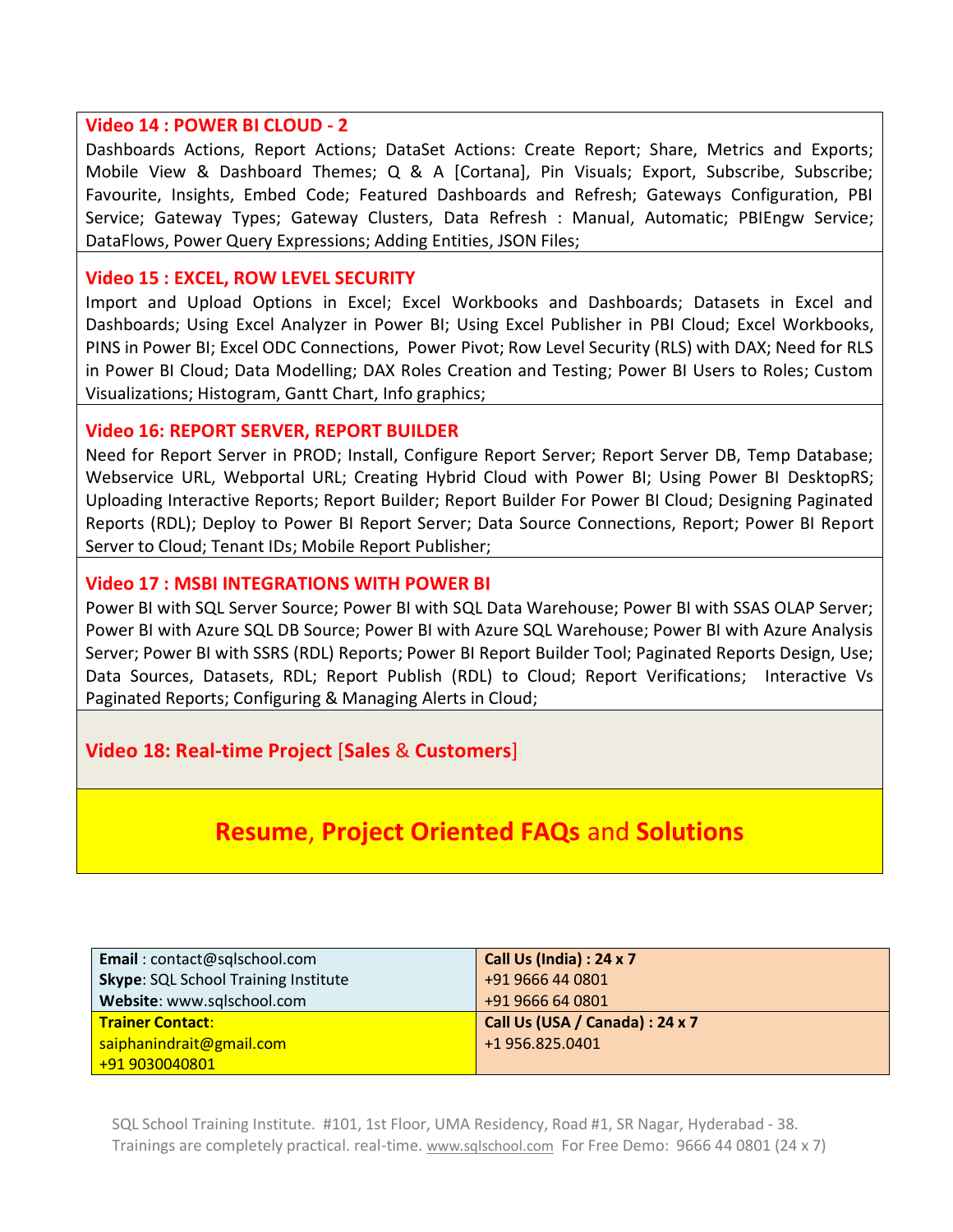## **Video 14 : POWER BI CLOUD - 2**

Dashboards Actions, Report Actions; DataSet Actions: Create Report; Share, Metrics and Exports; Mobile View & Dashboard Themes; Q & A [Cortana], Pin Visuals; Export, Subscribe, Subscribe; Favourite, Insights, Embed Code; Featured Dashboards and Refresh; Gateways Configuration, PBI Service; Gateway Types; Gateway Clusters, Data Refresh : Manual, Automatic; PBIEngw Service; DataFlows, Power Query Expressions; Adding Entities, JSON Files;

## **Video 15 : EXCEL, ROW LEVEL SECURITY**

Import and Upload Options in Excel; Excel Workbooks and Dashboards; Datasets in Excel and Dashboards; Using Excel Analyzer in Power BI; Using Excel Publisher in PBI Cloud; Excel Workbooks, PINS in Power BI; Excel ODC Connections, Power Pivot; Row Level Security (RLS) with DAX; Need for RLS in Power BI Cloud; Data Modelling; DAX Roles Creation and Testing; Power BI Users to Roles; Custom Visualizations; Histogram, Gantt Chart, Info graphics;

## **Video 16: REPORT SERVER, REPORT BUILDER**

Need for Report Server in PROD; Install, Configure Report Server; Report Server DB, Temp Database; Webservice URL, Webportal URL; Creating Hybrid Cloud with Power BI; Using Power BI DesktopRS; Uploading Interactive Reports; Report Builder; Report Builder For Power BI Cloud; Designing Paginated Reports (RDL); Deploy to Power BI Report Server; Data Source Connections, Report; Power BI Report Server to Cloud; Tenant IDs; Mobile Report Publisher;

## **Video 17 : MSBI INTEGRATIONS WITH POWER BI**

Power BI with SQL Server Source; Power BI with SQL Data Warehouse; Power BI with SSAS OLAP Server; Power BI with Azure SQL DB Source; Power BI with Azure SQL Warehouse; Power BI with Azure Analysis Server; Power BI with SSRS (RDL) Reports; Power BI Report Builder Tool; Paginated Reports Design, Use; Data Sources, Datasets, RDL; Report Publish (RDL) to Cloud; Report Verifications; Interactive Vs Paginated Reports; Configuring & Managing Alerts in Cloud;

## **Video 18: Real-time Project** [**Sales** & **Customers**]

## **Resume**, **Project Oriented FAQs** and **Solutions**

| Email: contact@sqlschool.com                | <b>Call Us (India): 24 x 7</b>  |
|---------------------------------------------|---------------------------------|
| <b>Skype: SQL School Training Institute</b> | +91 9666 44 0801                |
| Website: www.sqlschool.com                  | +91 9666 64 0801                |
| <b>Trainer Contact:</b>                     | Call Us (USA / Canada) : 24 x 7 |
| saiphanindrait@gmail.com                    | +1 956.825.0401                 |
| +91 9030040801                              |                                 |

SQL School Training Institute. #101, 1st Floor, UMA Residency, Road #1, SR Nagar, Hyderabad - 38. Trainings are completely practical. real-time. [www.sqlschool.com](http://www.sqlschool.com/) For Free Demo: 9666 44 0801 (24 x 7)